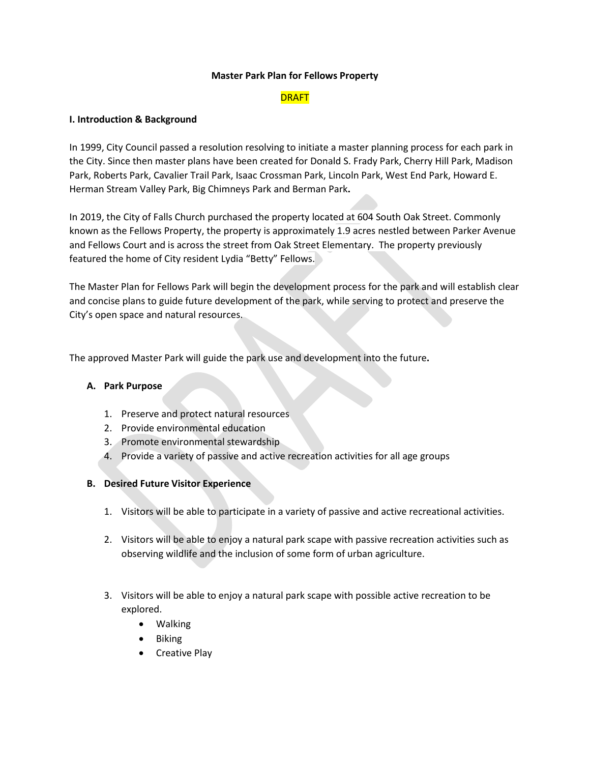### **Master Park Plan for Fellows Property**

# **DRAFT**

### **I. Introduction & Background**

In 1999, City Council passed a resolution resolving to initiate a master planning process for each park in the City. Since then master plans have been created for Donald S. Frady Park, Cherry Hill Park, Madison Park, Roberts Park, Cavalier Trail Park, Isaac Crossman Park, Lincoln Park, West End Park, Howard E. Herman Stream Valley Park, Big Chimneys Park and Berman Park**.** 

In 2019, the City of Falls Church purchased the property located at 604 South Oak Street. Commonly known as the Fellows Property, the property is approximately 1.9 acres nestled between Parker Avenue and Fellows Court and is across the street from Oak Street Elementary. The property previously featured the home of City resident Lydia "Betty" Fellows.

The Master Plan for Fellows Park will begin the development process for the park and will establish clear and concise plans to guide future development of the park, while serving to protect and preserve the City's open space and natural resources.

The approved Master Park will guide the park use and development into the future**.**

## **A. Park Purpose**

- 1. Preserve and protect natural resources
- 2. Provide environmental education
- 3. Promote environmental stewardship
- 4. Provide a variety of passive and active recreation activities for all age groups

## **B. Desired Future Visitor Experience**

- 1. Visitors will be able to participate in a variety of passive and active recreational activities.
- 2. Visitors will be able to enjoy a natural park scape with passive recreation activities such as observing wildlife and the inclusion of some form of urban agriculture.
- 3. Visitors will be able to enjoy a natural park scape with possible active recreation to be explored.
	- Walking
	- Biking
	- Creative Play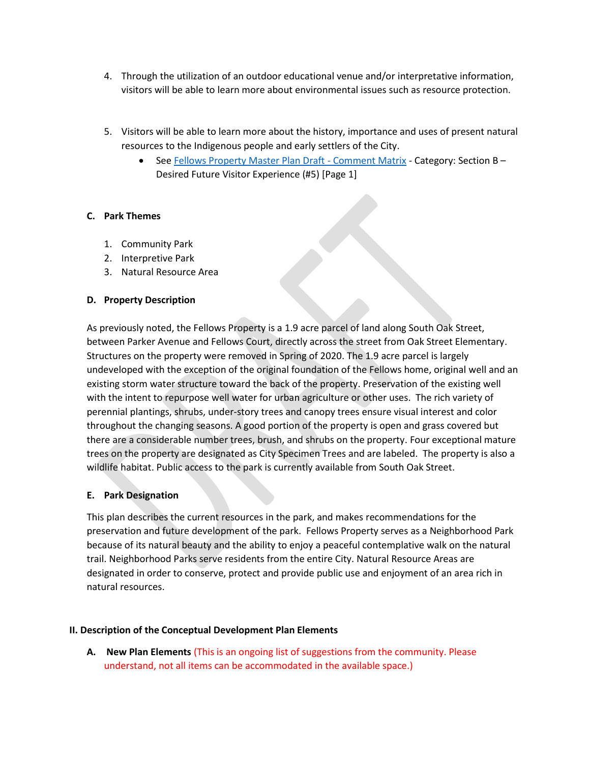- 4. Through the utilization of an outdoor educational venue and/or interpretative information, visitors will be able to learn more about environmental issues such as resource protection.
- 5. Visitors will be able to learn more about the history, importance and uses of present natural resources to the Indigenous people and early settlers of the City.
	- Se[e Fellows Property Master Plan Draft -](https://www.fallschurchva.gov/DocumentCenter/View/15472/Fellows-Property-Master-Plan-Draft---Comment-Matrix) Comment Matrix Category: Section B -Desired Future Visitor Experience (#5) [Page 1]

# **C. Park Themes**

- 1. Community Park
- 2. Interpretive Park
- 3. Natural Resource Area

# **D. Property Description**

As previously noted, the Fellows Property is a 1.9 acre parcel of land along South Oak Street, between Parker Avenue and Fellows Court, directly across the street from Oak Street Elementary. Structures on the property were removed in Spring of 2020. The 1.9 acre parcel is largely undeveloped with the exception of the original foundation of the Fellows home, original well and an existing storm water structure toward the back of the property. Preservation of the existing well with the intent to repurpose well water for urban agriculture or other uses. The rich variety of perennial plantings, shrubs, under-story trees and canopy trees ensure visual interest and color throughout the changing seasons. A good portion of the property is open and grass covered but there are a considerable number trees, brush, and shrubs on the property. Four exceptional mature trees on the property are designated as City Specimen Trees and are labeled. The property is also a wildlife habitat. Public access to the park is currently available from South Oak Street.

## **E. Park Designation**

This plan describes the current resources in the park, and makes recommendations for the preservation and future development of the park. Fellows Property serves as a Neighborhood Park because of its natural beauty and the ability to enjoy a peaceful contemplative walk on the natural trail. Neighborhood Parks serve residents from the entire City. Natural Resource Areas are designated in order to conserve, protect and provide public use and enjoyment of an area rich in natural resources.

## **II. Description of the Conceptual Development Plan Elements**

**A. New Plan Elements** (This is an ongoing list of suggestions from the community. Please understand, not all items can be accommodated in the available space.)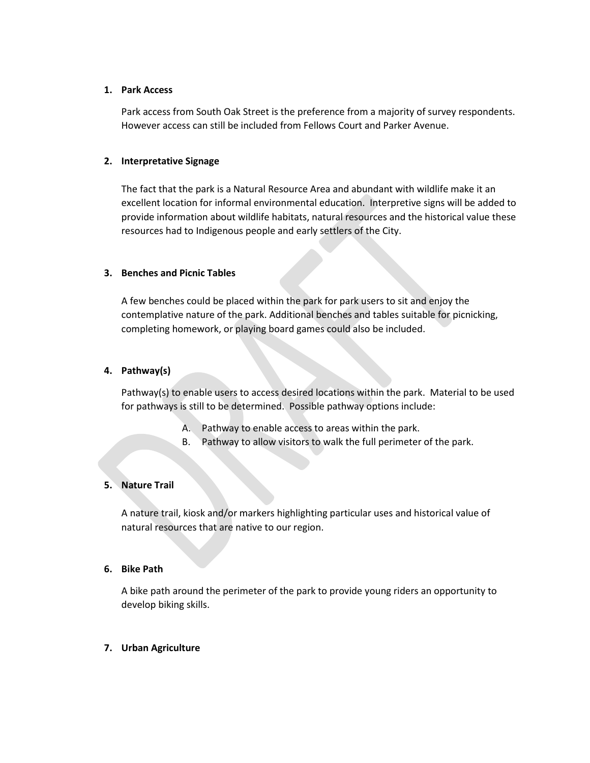### **1. Park Access**

Park access from South Oak Street is the preference from a majority of survey respondents. However access can still be included from Fellows Court and Parker Avenue.

### **2. Interpretative Signage**

The fact that the park is a Natural Resource Area and abundant with wildlife make it an excellent location for informal environmental education. Interpretive signs will be added to provide information about wildlife habitats, natural resources and the historical value these resources had to Indigenous people and early settlers of the City.

#### **3. Benches and Picnic Tables**

A few benches could be placed within the park for park users to sit and enjoy the contemplative nature of the park. Additional benches and tables suitable for picnicking, completing homework, or playing board games could also be included.

#### **4. Pathway(s)**

Pathway(s) to enable users to access desired locations within the park. Material to be used for pathways is still to be determined. Possible pathway options include:

- A. Pathway to enable access to areas within the park.
- B. Pathway to allow visitors to walk the full perimeter of the park.

## **5. Nature Trail**

A nature trail, kiosk and/or markers highlighting particular uses and historical value of natural resources that are native to our region.

## **6. Bike Path**

A bike path around the perimeter of the park to provide young riders an opportunity to develop biking skills.

#### **7. Urban Agriculture**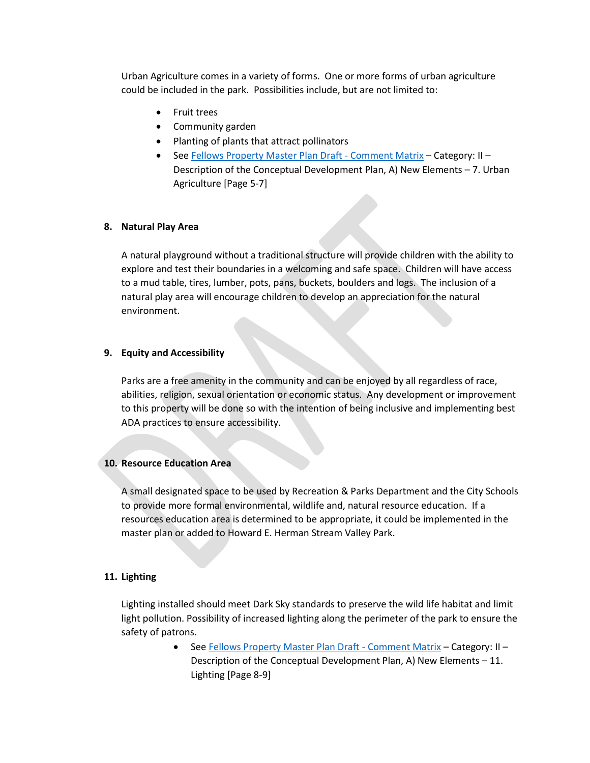Urban Agriculture comes in a variety of forms. One or more forms of urban agriculture could be included in the park. Possibilities include, but are not limited to:

- Fruit trees
- Community garden
- Planting of plants that attract pollinators
- Se[e Fellows Property Master Plan Draft -](https://www.fallschurchva.gov/DocumentCenter/View/15472/Fellows-Property-Master-Plan-Draft---Comment-Matrix) Comment Matrix Category: II -Description of the Conceptual Development Plan, A) New Elements – 7. Urban Agriculture [Page 5-7]

#### **8. Natural Play Area**

A natural playground without a traditional structure will provide children with the ability to explore and test their boundaries in a welcoming and safe space. Children will have access to a mud table, tires, lumber, pots, pans, buckets, boulders and logs. The inclusion of a natural play area will encourage children to develop an appreciation for the natural environment.

#### **9. Equity and Accessibility**

Parks are a free amenity in the community and can be enjoyed by all regardless of race, abilities, religion, sexual orientation or economic status. Any development or improvement to this property will be done so with the intention of being inclusive and implementing best ADA practices to ensure accessibility.

#### **10. Resource Education Area**

A small designated space to be used by Recreation & Parks Department and the City Schools to provide more formal environmental, wildlife and, natural resource education. If a resources education area is determined to be appropriate, it could be implemented in the master plan or added to Howard E. Herman Stream Valley Park.

#### **11. Lighting**

Lighting installed should meet Dark Sky standards to preserve the wild life habitat and limit light pollution. Possibility of increased lighting along the perimeter of the park to ensure the safety of patrons.

> • Se[e Fellows Property Master Plan Draft -](https://www.fallschurchva.gov/DocumentCenter/View/15472/Fellows-Property-Master-Plan-Draft---Comment-Matrix) Comment Matrix - Category: II -Description of the Conceptual Development Plan, A) New Elements – 11. Lighting [Page 8-9]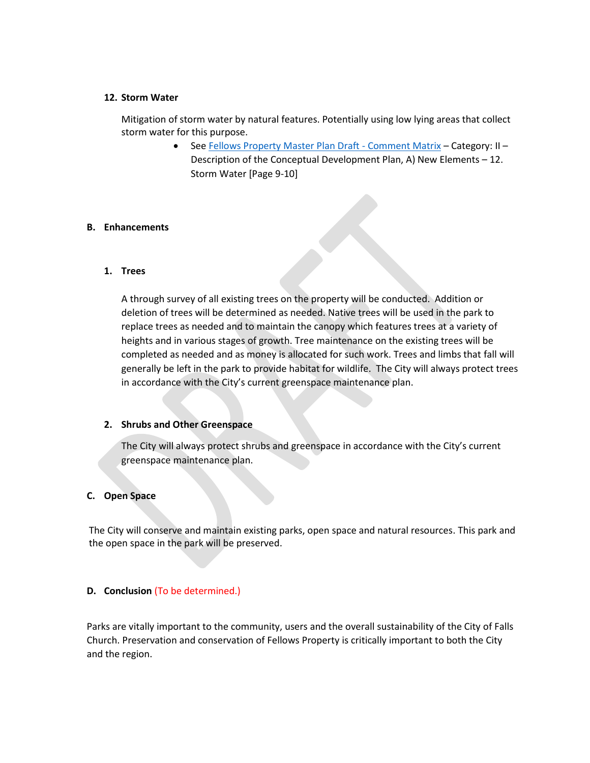### **12. Storm Water**

Mitigation of storm water by natural features. Potentially using low lying areas that collect storm water for this purpose.

> ● Se[e Fellows Property Master Plan Draft -](https://www.fallschurchva.gov/DocumentCenter/View/15472/Fellows-Property-Master-Plan-Draft---Comment-Matrix) Comment Matrix - Category: II -Description of the Conceptual Development Plan, A) New Elements – 12. Storm Water [Page 9-10]

#### **B. Enhancements**

#### **1. Trees**

A through survey of all existing trees on the property will be conducted. Addition or deletion of trees will be determined as needed. Native trees will be used in the park to replace trees as needed and to maintain the canopy which features trees at a variety of heights and in various stages of growth. Tree maintenance on the existing trees will be completed as needed and as money is allocated for such work. Trees and limbs that fall will generally be left in the park to provide habitat for wildlife. The City will always protect trees in accordance with the City's current greenspace maintenance plan.

## **2. Shrubs and Other Greenspace**

The City will always protect shrubs and greenspace in accordance with the City's current greenspace maintenance plan.

## **C. Open Space**

The City will conserve and maintain existing parks, open space and natural resources. This park and the open space in the park will be preserved.

## **D. Conclusion** (To be determined.)

Parks are vitally important to the community, users and the overall sustainability of the City of Falls Church. Preservation and conservation of Fellows Property is critically important to both the City and the region.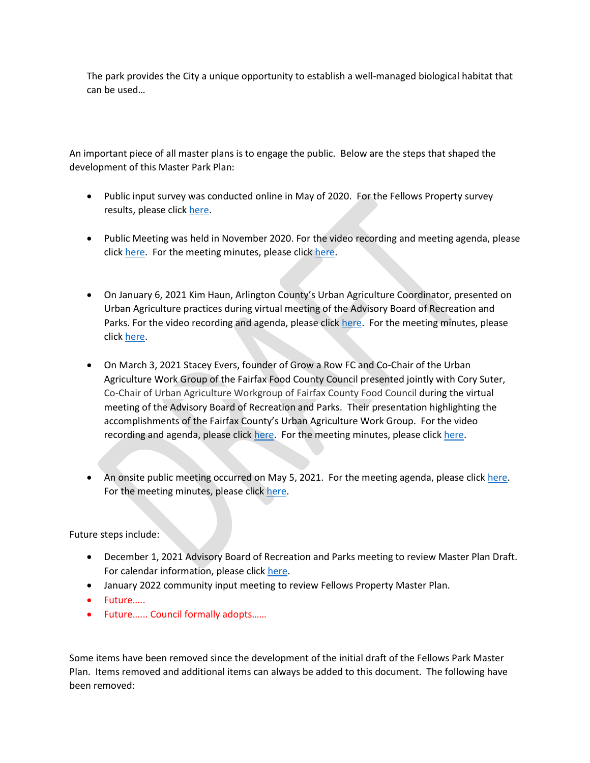The park provides the City a unique opportunity to establish a well-managed biological habitat that can be used…

An important piece of all master plans is to engage the public. Below are the steps that shaped the development of this Master Park Plan:

- Public input survey was conducted online in May of 2020. For the Fellows Property survey results, please click [here.](https://www.fallschurchva.gov/DocumentCenter/View/13094/Fellows-property-survey-results-6320?bidId=)
- Public Meeting was held in November 2020. For the video recording and meeting agenda, please click [here.](https://www.fallschurchva.gov/AgendaCenter/ViewFile/Minutes/_11042020-1664) For the meeting minutes, please click here.
- On January 6, 2021 Kim Haun, Arlington County's Urban Agriculture Coordinator, presented on Urban Agriculture practices during virtual meeting of the Advisory Board of Recreation and Parks. For the video recording and agenda, please click [here.](http://fallschurch-va.granicus.com/player/clip/1400?view_id=2&redirect=true) For the meeting minutes, please click [here.](https://www.fallschurchva.gov/AgendaCenter/ViewFile/Minutes/_01062021-1710)
- On March 3, 2021 Stacey Evers, founder of Grow a Row FC and Co-Chair of the Urban Agriculture Work Group of the Fairfax Food County Council presented jointly with Cory Suter, Co-Chair of Urban Agriculture Workgroup of Fairfax County Food Council during the virtual meeting of the Advisory Board of Recreation and Parks. Their presentation highlighting the accomplishments of the Fairfax County's Urban Agriculture Work Group. For the video recording and agenda, please click [here.](http://fallschurch-va.granicus.com/player/clip/1493?view_id=2&redirect=true) For the meeting minutes, please click [here.](https://www.fallschurchva.gov/DocumentCenter/View/14327/0321-meeting-minutes-draft)
- An onsite public meeting occurred on May 5, 2021. For the meeting agenda, please click [here.](https://www.fallschurchva.gov/AgendaCenter/ViewFile/Agenda/_05052021-1817) For the meeting minutes, please clic[k here.](https://www.fallschurchva.gov/AgendaCenter/ViewFile/Minutes/_05052021-1817)

Future steps include:

- December 1, 2021 Advisory Board of Recreation and Parks meeting to review Master Plan Draft. For calendar information, please click [here.](https://www.fallschurchva.gov/Calendar.aspx?EID=7184&month=12&year=2021&day=1&calType=0)
- January 2022 community input meeting to review Fellows Property Master Plan.
- Future…..
- Future…... Council formally adopts……

Some items have been removed since the development of the initial draft of the Fellows Park Master Plan. Items removed and additional items can always be added to this document. The following have been removed: